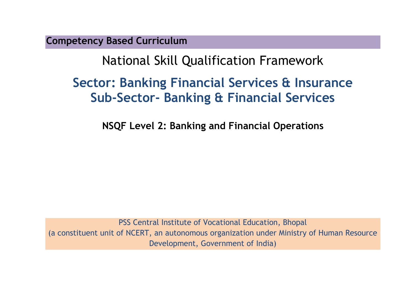**Competency Based Curriculum** 

# National Skill Qualification Framework

# **Sector: Banking Financial Services & Insurance Sub-Sector- Banking & Financial Services**

**NSQF Level 2: Banking and Financial Operations**

PSS Central Institute of Vocational Education, Bhopal (a constituent unit of NCERT, an autonomous organization under Ministry of Human Resource Development, Government of India)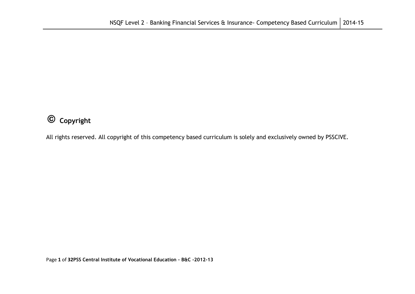## **Copyright**

All rights reserved. All copyright of this competency based curriculum is solely and exclusively owned by PSSCIVE.

Page **1** of **32PSS Central Institute of Vocational Education – B&C -2012-13**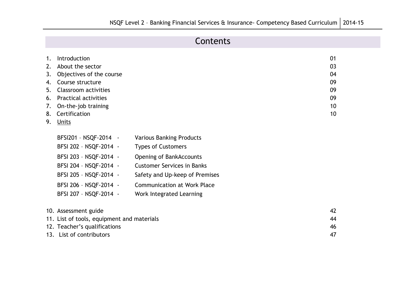## **Contents**

| 1. | Introduction                               |                                    | 01 |
|----|--------------------------------------------|------------------------------------|----|
| 2. | About the sector                           |                                    | 03 |
| 3. | Objectives of the course                   |                                    | 04 |
| 4. | Course structure                           |                                    | 09 |
| 5. | Classroom activities                       |                                    | 09 |
| 6. | <b>Practical activities</b>                |                                    | 09 |
| 7. | On-the-job training                        |                                    | 10 |
| 8. | Certification                              |                                    | 10 |
| 9. | Units                                      |                                    |    |
|    |                                            |                                    |    |
|    | BFSI201 - NSQF-2014 -                      | <b>Various Banking Products</b>    |    |
|    | BFSI 202 - NSQF-2014 -                     | <b>Types of Customers</b>          |    |
|    | BFSI 203 - NSQF-2014 -                     | Opening of BankAccounts            |    |
|    | BFSI 204 - NSQF-2014 -                     | <b>Customer Services in Banks</b>  |    |
|    | BFSI 205 - NSQF-2014 -                     | Safety and Up-keep of Premises     |    |
|    | BFSI 206 - NSQF-2014 -                     | <b>Communication at Work Place</b> |    |
|    | BFSI 207 - NSQF-2014 -                     | Work Integrated Learning           |    |
|    |                                            |                                    |    |
|    | 10. Assessment guide                       |                                    | 42 |
|    | 11. List of tools, equipment and materials |                                    | 44 |
|    | 12. Teacher's qualifications               |                                    | 46 |
|    | 13. List of contributors                   |                                    | 47 |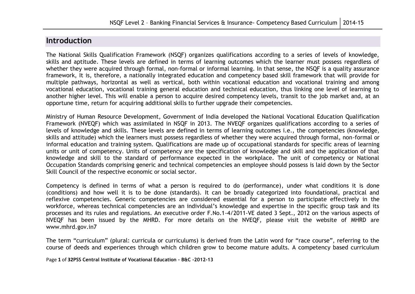### **Introduction**

The National Skills Qualification Framework (NSQF) organizes qualifications according to a series of levels of knowledge, skills and aptitude. These levels are defined in terms of learning outcomes which the learner must possess regardless of whether they were acquired through formal, non-formal or informal learning. In that sense, the NSQF is a quality assurance framework, It is, therefore, a nationally integrated education and competency based skill framework that will provide for multiple pathways, horizontal as well as vertical, both within vocational education and vocational training and among vocational education, vocational training general education and technical education, thus linking one level of learning to another higher level. This will enable a person to acquire desired competency levels, transit to the job market and, at an opportune time, return for acquiring additional skills to further upgrade their competencies.

Ministry of Human Resource Development, Government of India developed the National Vocational Education Qualification Framework (NVEQF) which was assimilated in NSQF in 2013. The NVEQF organizes qualifications according to a series of levels of knowledge and skills. These levels are defined in terms of learning outcomes i.e., the competencies (knowledge, skills and attitude) which the learners must possess regardless of whether they were acquired through formal, non-formal or informal education and training system. Qualifications are made up of occupational standards for specific areas of learning units or unit of competency. Units of competency are the specification of knowledge and skill and the application of that knowledge and skill to the standard of performance expected in the workplace. The unit of competency or National Occupation Standards comprising generic and technical competencies an employee should possess is laid down by the Sector Skill Council of the respective economic or social sector.

Competency is defined in terms of what a person is required to do (performance), under what conditions it is done (conditions) and how well it is to be done (standards). It can be broadly categorized into foundational, practical and reflexive competencies. Generic competencies are considered essential for a person to participate effectively in the workforce, whereas technical competencies are an individual"s knowledge and expertise in the specific group task and its processes and its rules and regulations. An executive order F.No.1-4/2011-VE dated 3 Sept., 2012 on the various aspects of NVEQF has been issued by the MHRD. For more details on the NVEQF, please visit the website of MHRD are www.mhrd.gov.in7

The term "curriculum" (plural: curricula or curriculums) is derived from the Latin word for "race course", referring to the course of deeds and experiences through which children grow to become mature adults. A competency based curriculum

Page **1** of **32PSS Central Institute of Vocational Education – B&C -2012-13**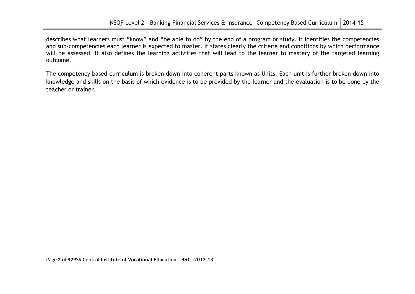describes what learners must "know" and "be able to do" by the end of a program or study. It identifies the competencies and sub-competencies each learner is expected to master. It states clearly the criteria and conditions by which performance will be assessed. It also defines the learning activities that will lead to the learner to mastery of the targeted learning outcome.

The competency based curriculum is broken down into coherent parts known as Units. Each unit is further broken down into knowledge and skills on the basis of which evidence is to be provided by the learner and the evaluation is to be done by the teacher or trainer.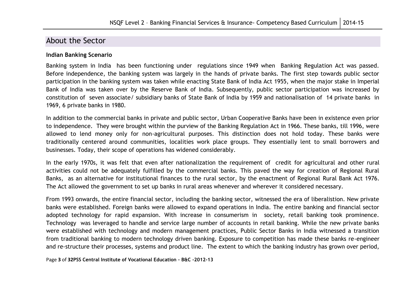### About the Sector

### **Indian Banking Scenario**

Banking system in India has been functioning under regulations since 1949 when Banking Regulation Act was passed. Before independence, the banking system was largely in the hands of private banks. The first step towards public sector participation in the banking system was taken while enacting State Bank of India Act 1955, when the major stake in Imperial Bank of India was taken over by the Reserve Bank of India. Subsequently, public sector participation was increased by constitution of seven associate/ subsidiary banks of State Bank of India by 1959 and nationalisation of 14 private banks in 1969, 6 private banks in 1980.

In addition to the commercial banks in private and public sector, Urban Cooperative Banks have been in existence even prior to independence. They were brought within the purview of the Banking Regulation Act in 1966. These banks, till 1996, were allowed to lend money only for non-agricultural purposes. This distinction does not hold today. These banks were traditionally centered around communities, localities work place groups. They essentially lent to small borrowers and businesses. Today, their scope of operations has widened considerably.

In the early 1970s, it was felt that even after nationalization the requirement of credit for agricultural and other rural activities could not be adequately fulfilled by the commercial banks. This paved the way for creation of Regional Rural Banks, as an alternative for institutional finances to the rural sector, by the enactment of Regional Rural Bank Act 1976. The Act allowed the government to set up banks in rural areas whenever and wherever it considered necessary.

From 1993 onwards, the entire financial sector, including the banking sector, witnessed the era of liberalistion. New private banks were established. Foreign banks were allowed to expand operations in India. The entire banking and financial sector adopted technology for rapid expansion. With increase in consumerism in society, retail banking took prominence. Technology was leveraged to handle and service large number of accounts in retail banking. While the new private banks were established with technology and modern management practices, Public Sector Banks in India witnessed a transition from traditional banking to modern technology driven banking. Exposure to competition has made these banks re-engineer and re-structure their processes, systems and product line. The extent to which the banking industry has grown over period,

Page **3** of **32PSS Central Institute of Vocational Education – B&C -2012-13**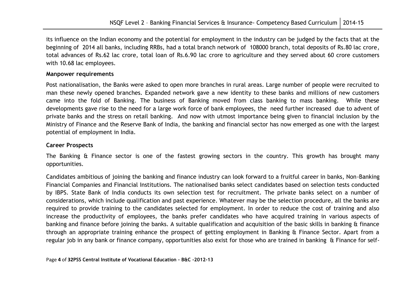its influence on the Indian economy and the potential for employment in the industry can be judged by the facts that at the beginning of 2014 all banks, including RRBs, had a total branch network of 108000 branch, total deposits of Rs.80 lac crore, total advances of Rs.62 lac crore, total loan of Rs.6.90 lac crore to agriculture and they served about 60 crore customers with 10.68 lac employees.

### **Manpower requirements**

Post nationalisation, the Banks were asked to open more branches in rural areas. Large number of people were recruited to man these newly opened branches. Expanded network gave a new identity to these banks and millions of new customers came into the fold of Banking. The business of Banking moved from class banking to mass banking. While these developments gave rise to the need for a large work force of bank employees, the need further increased due to advent of private banks and the stress on retail banking. And now with utmost importance being given to financial inclusion by the Ministry of Finance and the Reserve Bank of India, the banking and financial sector has now emerged as one with the largest potential of employment in India.

### **Career Prospects**

The Banking & Finance sector is one of the fastest growing sectors in the country. This growth has brought many opportunities.

Candidates ambitious of joining the banking and finance industry can look forward to a fruitful career in banks, Non-Banking Financial Companies and Financial Institutions. The nationalised banks select candidates based on selection tests conducted by IBPS. State Bank of India conducts its own selection test for recruitment. The private banks select on a number of considerations, which include qualification and past experience. Whatever may be the selection procedure, all the banks are required to provide training to the candidates selected for employment. In order to reduce the cost of training and also increase the productivity of employees, the banks prefer candidates who have acquired training in various aspects of banking and finance before joining the banks. A suitable qualification and acquisition of the basic skills in banking & finance through an appropriate training enhance the prospect of getting employment in Banking & Finance Sector. Apart from a regular job in any bank or finance company, opportunities also exist for those who are trained in banking & Finance for self-

Page **4** of **32PSS Central Institute of Vocational Education – B&C -2012-13**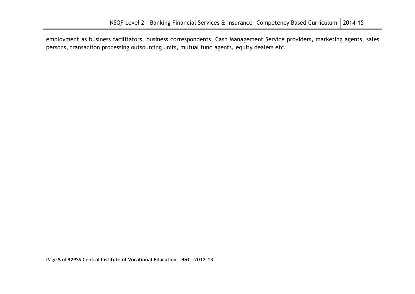employment as business facilitators, business correspondents, Cash Management Service providers, marketing agents, sales persons, transaction processing outsourcing units, mutual fund agents, equity dealers etc.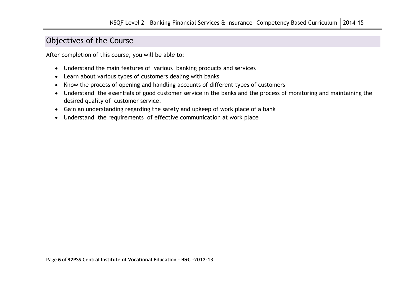### Objectives of the Course

After completion of this course, you will be able to:

- Understand the main features of various banking products and services
- Learn about various types of customers dealing with banks
- Know the process of opening and handling accounts of different types of customers
- Understand the essentials of good customer service in the banks and the process of monitoring and maintaining the desired quality of customer service.
- Gain an understanding regarding the safety and upkeep of work place of a bank
- Understand the requirements of effective communication at work place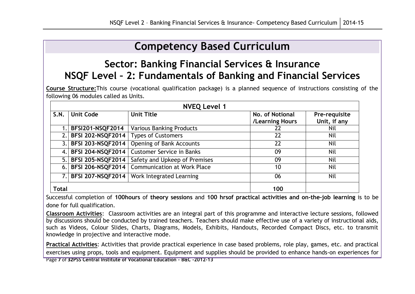# **Competency Based Curriculum**

## **Sector: Banking Financial Services & Insurance NSQF Level – 2: Fundamentals of Banking and Financial Services**

**Course Structure:**This course (vocational qualification package) is a planned sequence of instructions consisting of the following 06 modules called as Units.

|                          | <b>NVEQ Level 1</b>      |                                    |                                    |                               |  |  |  |
|--------------------------|--------------------------|------------------------------------|------------------------------------|-------------------------------|--|--|--|
| <b>Unit Code</b><br>S.N. |                          | <b>Unit Title</b>                  | No. of Notional<br>/Learning Hours | Pre-requisite<br>Unit, if any |  |  |  |
|                          | <b>BFSI201-NSQF2014</b>  | <b>Various Banking Products</b>    | 22                                 | Nil                           |  |  |  |
|                          | 2. BFSI 202-NSQF2014     | <b>Types of Customers</b>          | 22                                 | <b>Nil</b>                    |  |  |  |
|                          | 3. BFSI 203-NSQF2014     | <b>Opening of Bank Accounts</b>    | 22                                 | Nil                           |  |  |  |
| 4.1                      | <b>BFSI 204-NSQF2014</b> | <b>Customer Service in Banks</b>   | 09                                 | Nil                           |  |  |  |
| 5.1                      | <b>BFSI 205-NSQF2014</b> | Safety and Upkeep of Premises      | 09                                 | Nil                           |  |  |  |
| 6.1                      | <b>BFSI 206-NSQF2014</b> | <b>Communication at Work Place</b> | 10                                 | Nil                           |  |  |  |
|                          | 7. BFSI 207-NSQF2014     | Work Integrated Learning           | 06                                 | Nil                           |  |  |  |
| <b>Total</b>             |                          |                                    | 100                                |                               |  |  |  |

Successful completion of **100hours** of **theory sessions** and **100 hrsof practical activities and on-the-job learning** is to be done for full qualification.

**Classroom Activities**: Classroom activities are an integral part of this programme and interactive lecture sessions, followed by discussions should be conducted by trained teachers. Teachers should make effective use of a variety of instructional aids, such as Videos, Colour Slides, Charts, Diagrams, Models, Exhibits, Handouts, Recorded Compact Discs, etc. to transmit knowledge in projective and interactive mode.

**Practical Activities**: Activities that provide practical experience in case based problems, role play, games, etc. and practical exercises using props, tools and equipment. Equipment and supplies should be provided to enhance hands-on experiences for

Page **7** of **32PSS Central Institute of Vocational Education – B&C -2012-13**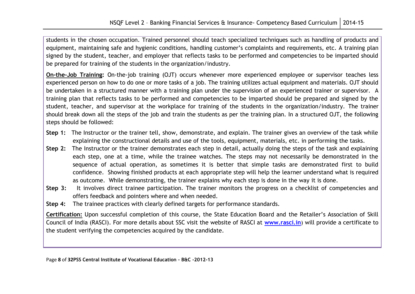students in the chosen occupation. Trained personnel should teach specialized techniques such as handling of products and equipment, maintaining safe and hygienic conditions, handling customer"s complaints and requirements, etc. A training plan signed by the student, teacher, and employer that reflects tasks to be performed and competencies to be imparted should be prepared for training of the students in the organization/industry.

**On-the-Job Training:** On-the-job training (OJT) occurs whenever more experienced employee or supervisor teaches less experienced person on how to do one or more tasks of a job. The training utilizes actual equipment and materials. OJT should be undertaken in a structured manner with a training plan under the supervision of an experienced trainer or supervisor. A training plan that reflects tasks to be performed and competencies to be imparted should be prepared and signed by the student, teacher, and supervisor at the workplace for training of the students in the organization/industry. The trainer should break down all the steps of the job and train the students as per the training plan. In a structured OJT, the following steps should be followed:

- **Step 1:** The Instructor or the trainer tell, show, demonstrate, and explain. The trainer gives an overview of the task while explaining the constructional details and use of the tools, equipment, materials, etc. in performing the tasks.
- **Step 2:** The Instructor or the trainer demonstrates each step in detail, actually doing the steps of the task and explaining each step, one at a time, while the trainee watches. The steps may not necessarily be demonstrated in the sequence of actual operation, as sometimes it is better that simple tasks are demonstrated first to build confidence. Showing finished products at each appropriate step will help the learner understand what is required as outcome. While demonstrating, the trainer explains why each step is done in the way it is done.
- **Step 3:** It involves direct trainee participation. The trainer monitors the progress on a checklist of competencies and offers feedback and pointers where and when needed.
- **Step 4:** The trainee practices with clearly defined targets for performance standards.

**Certification:** Upon successful completion of this course, the State Education Board and the Retailer"s Association of Skill Council of India (RASCI). For more details about SSC visit the website of RASCI at **[www.rasci.in](http://www.rasci.in/)**) will provide a certificate to the student verifying the competencies acquired by the candidate.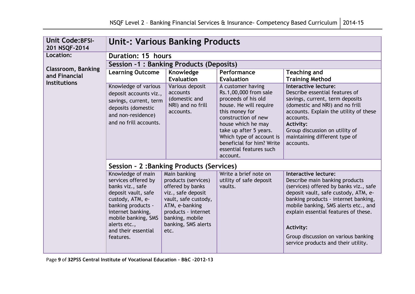| <b>Unit Code: BFSI-</b><br>201 NSQF-2014 | <b>Unit-: Various Banking Products</b>                                                                                                                                                                                        |                                                                                                                                                                                                  |                                                                                                                                                                                                                                                                                      |                                                                                                                                                                                                                                                                                                                                                                    |  |  |  |
|------------------------------------------|-------------------------------------------------------------------------------------------------------------------------------------------------------------------------------------------------------------------------------|--------------------------------------------------------------------------------------------------------------------------------------------------------------------------------------------------|--------------------------------------------------------------------------------------------------------------------------------------------------------------------------------------------------------------------------------------------------------------------------------------|--------------------------------------------------------------------------------------------------------------------------------------------------------------------------------------------------------------------------------------------------------------------------------------------------------------------------------------------------------------------|--|--|--|
| Location:                                | <b>Duration: 15 hours</b>                                                                                                                                                                                                     |                                                                                                                                                                                                  |                                                                                                                                                                                                                                                                                      |                                                                                                                                                                                                                                                                                                                                                                    |  |  |  |
| Classroom, Banking                       |                                                                                                                                                                                                                               | Session -1: Banking Products (Deposits)                                                                                                                                                          |                                                                                                                                                                                                                                                                                      |                                                                                                                                                                                                                                                                                                                                                                    |  |  |  |
| and Financial<br><b>Institutions</b>     | <b>Learning Outcome</b>                                                                                                                                                                                                       | Knowledge<br><b>Evaluation</b>                                                                                                                                                                   | Performance<br><b>Evaluation</b>                                                                                                                                                                                                                                                     | <b>Teaching and</b><br><b>Training Method</b>                                                                                                                                                                                                                                                                                                                      |  |  |  |
|                                          | Knowledge of various<br>deposit accounts viz.,<br>savings, current, term<br>deposits (domestic<br>and non-residence)<br>and no frill accounts.                                                                                | Various deposit<br>accounts<br>(domestic and<br>NRI) and no frill<br>accounts.                                                                                                                   | A customer having<br>Rs.1,00,000 from sale<br>proceeds of his old<br>house. He will require<br>this money for<br>construction of new<br>house which he may<br>take up after 5 years.<br>Which type of account is<br>beneficial for him? Write<br>essential features such<br>account. | Interactive lecture:<br>Describe essential features of<br>savings, current, term deposits<br>(domestic and NRI) and no frill<br>accounts. Explain the utility of these<br>accounts.<br><b>Activity:</b><br>Group discussion on utility of<br>maintaining different type of<br>accounts.                                                                            |  |  |  |
|                                          | Session - 2: Banking Products (Services)                                                                                                                                                                                      |                                                                                                                                                                                                  |                                                                                                                                                                                                                                                                                      |                                                                                                                                                                                                                                                                                                                                                                    |  |  |  |
|                                          | Knowledge of main<br>services offered by<br>banks viz., safe<br>deposit vault, safe<br>custody, ATM, e-<br>banking products -<br>internet banking,<br>mobile banking, SMS<br>alerts etc.,<br>and their essential<br>features. | Main banking<br>products (services)<br>offered by banks<br>viz., safe deposit<br>vault, safe custody,<br>ATM, e-banking<br>products - internet<br>banking, mobile<br>banking, SMS alerts<br>etc. | Write a brief note on<br>utility of safe deposit<br>vaults.                                                                                                                                                                                                                          | Interactive lecture:<br>Describe main banking products<br>(services) offered by banks viz., safe<br>deposit vault, safe custody, ATM, e-<br>banking products - internet banking,<br>mobile banking, SMS alerts etc., and<br>explain essential features of these.<br><b>Activity:</b><br>Group discussion on various banking<br>service products and their utility. |  |  |  |

Page **9** of **32PSS Central Institute of Vocational Education – B&C -2012-13**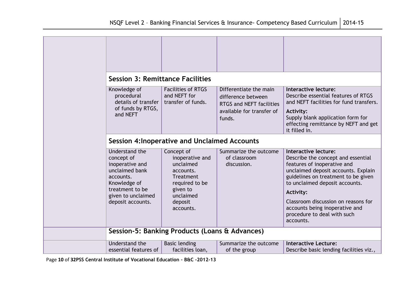| <b>Session 3: Remittance Facilities</b>                                                                                                                      |                                                                                                                                                |                                                                                                                        |                                                                                                                                                                                                                                                                                                                                                    |
|--------------------------------------------------------------------------------------------------------------------------------------------------------------|------------------------------------------------------------------------------------------------------------------------------------------------|------------------------------------------------------------------------------------------------------------------------|----------------------------------------------------------------------------------------------------------------------------------------------------------------------------------------------------------------------------------------------------------------------------------------------------------------------------------------------------|
| Knowledge of<br>procedural<br>details of transfer<br>of funds by RTGS,<br>and NEFT                                                                           | <b>Facilities of RTGS</b><br>and NEFT for<br>transfer of funds.                                                                                | Differentiate the main<br>difference between<br><b>RTGS and NEFT facilities</b><br>available for transfer of<br>funds. | Interactive lecture:<br>Describe essential features of RTGS<br>and NEFT facilities for fund transfers.<br><b>Activity:</b><br>Supply blank application form for<br>effecting remittance by NEFT and get<br>it filled in.                                                                                                                           |
|                                                                                                                                                              | <b>Session 4: Inoperative and Unclaimed Accounts</b>                                                                                           |                                                                                                                        |                                                                                                                                                                                                                                                                                                                                                    |
| Understand the<br>concept of<br>inoperative and<br>unclaimed bank<br>accounts.<br>Knowledge of<br>treatment to be<br>given to unclaimed<br>deposit accounts. | Concept of<br>inoperative and<br>unclaimed<br>accounts.<br><b>Treatment</b><br>required to be<br>given to<br>unclaimed<br>deposit<br>accounts. | Summarize the outcome<br>of classroom<br>discussion.                                                                   | Interactive lecture:<br>Describe the concept and essential<br>features of inoperative and<br>unclaimed deposit accounts. Explain<br>guidelines on treatment to be given<br>to unclaimed deposit accounts.<br><b>Activity:</b><br>Classroom discussion on reasons for<br>accounts being inoperative and<br>procedure to deal with such<br>accounts. |
|                                                                                                                                                              | Session-5: Banking Products (Loans & Advances)                                                                                                 |                                                                                                                        |                                                                                                                                                                                                                                                                                                                                                    |
| Understand the<br>essential features of                                                                                                                      | <b>Basic lending</b><br>facilities loan,                                                                                                       | Summarize the outcome<br>of the group                                                                                  | <b>Interactive Lecture:</b><br>Describe basic lending facilities viz.,                                                                                                                                                                                                                                                                             |

Page **10** of **32PSS Central Institute of Vocational Education – B&C -2012-13**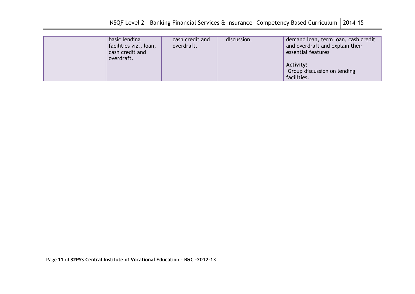| basic lending<br>facilities viz., loan,<br>cash credit and<br>overdraft. | cash credit and<br>overdraft. | discussion. | demand loan, term loan, cash credit<br>and overdraft and explain their<br>essential features<br><b>Activity:</b><br>Group discussion on lending |
|--------------------------------------------------------------------------|-------------------------------|-------------|-------------------------------------------------------------------------------------------------------------------------------------------------|
|                                                                          |                               |             | facilities.                                                                                                                                     |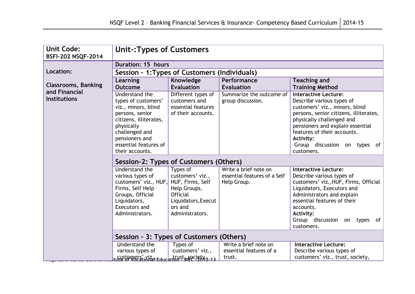| <b>Unit Code:</b><br><b>BSFI-202 NSQF-2014</b> | <b>Unit-: Types of Customers</b>                                                                                                                                                                        |                                                                                                                                          |                                                                      |                                                                                                                                                                                                                                                                                                        |
|------------------------------------------------|---------------------------------------------------------------------------------------------------------------------------------------------------------------------------------------------------------|------------------------------------------------------------------------------------------------------------------------------------------|----------------------------------------------------------------------|--------------------------------------------------------------------------------------------------------------------------------------------------------------------------------------------------------------------------------------------------------------------------------------------------------|
| <b>Duration: 15 hours</b>                      |                                                                                                                                                                                                         |                                                                                                                                          |                                                                      |                                                                                                                                                                                                                                                                                                        |
| Location:                                      | Session - 1: Types of Customers (Individuals)                                                                                                                                                           |                                                                                                                                          |                                                                      |                                                                                                                                                                                                                                                                                                        |
| <b>Classrooms, Banking</b><br>and Financial    | Learning<br><b>Outcome</b>                                                                                                                                                                              | Knowledge<br><b>Evaluation</b>                                                                                                           | Performance<br><b>Evaluation</b>                                     | <b>Teaching and</b><br><b>Training Method</b>                                                                                                                                                                                                                                                          |
| <b>Institutions</b>                            | Understand the<br>types of customers'<br>viz., minors, blind<br>persons, senior<br>citizens, illiterates,<br>physically<br>challenged and<br>pensioners and<br>essential features of<br>their accounts. | Different types of<br>customers and<br>essential features<br>of their accounts.                                                          | Summarize the outcome of<br>group discussion.                        | <b>Interactive Lecture:</b><br>Describe various types of<br>customers' viz., minors, blind<br>persons, senior citizens, illiterates,<br>physically challenged and<br>pensioners and explain essential<br>features of their accounts.<br><b>Activity:</b><br>Group discussion on types of<br>customers. |
|                                                | Session-2: Types of Customers (Others)                                                                                                                                                                  |                                                                                                                                          |                                                                      |                                                                                                                                                                                                                                                                                                        |
|                                                | Understand the<br>various types of<br>customers' viz., HUF,<br>Firms, Self Help<br>Groups, Official<br>Liquidators,<br>Executors and<br>Administrators.                                                 | Types of<br>customers' viz.,<br>HUF, Firms, Self<br>Help Groups,<br><b>Official</b><br>Liquidators, Execut<br>ors and<br>Administrators. | Write a brief note on<br>essential features of a Self<br>Help Group. | <b>Interactive Lecture:</b><br>Describe various types of<br>customers' viz., HUF, Firms, Official<br>Liquidators, Executors and<br>Administrators and explain<br>essential features of their<br>accounts.<br><b>Activity:</b><br>Group discussion on types<br>of<br>customers.                         |
|                                                | Session - 3: Types of Customers (Others)                                                                                                                                                                |                                                                                                                                          |                                                                      |                                                                                                                                                                                                                                                                                                        |
|                                                | <b>Understand the</b><br>various types of                                                                                                                                                               | Types of<br>customers' viz.,                                                                                                             | Write a brief note on<br>essential features of a<br>trust.           | <b>Interactive Lecture:</b><br>Describe various types of<br>customers' viz., trust, society,                                                                                                                                                                                                           |
|                                                | <u>Customers, viz.r Education - Baociety 2-13</u>                                                                                                                                                       |                                                                                                                                          |                                                                      |                                                                                                                                                                                                                                                                                                        |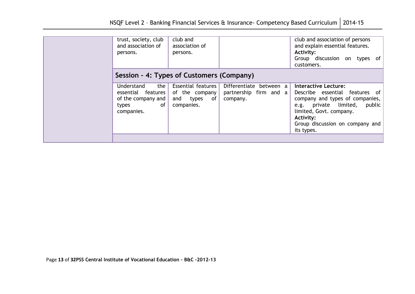| trust, society, club<br>and association of<br>persons.                                       | club and<br>association of<br>persons.                                          |                                                               | club and association of persons<br>and explain essential features.<br>Activity:<br>Group discussion on types<br>of .<br>customers.                                                                                           |
|----------------------------------------------------------------------------------------------|---------------------------------------------------------------------------------|---------------------------------------------------------------|------------------------------------------------------------------------------------------------------------------------------------------------------------------------------------------------------------------------------|
| Session - 4: Types of Customers (Company)                                                    |                                                                                 |                                                               |                                                                                                                                                                                                                              |
| the<br>Understand<br>essential features  <br>of the company and<br>of<br>types<br>companies. | <b>Essential features</b><br>of the company<br>and<br>of<br>types<br>companies. | Differentiate between a<br>partnership firm and a<br>company. | <b>Interactive Lecture:</b><br>Describe essential features of<br>company and types of companies,<br>e.g. private limited,<br>public<br>limited, Govt. company.<br>Activity:<br>Group discussion on company and<br>its types. |
|                                                                                              |                                                                                 |                                                               |                                                                                                                                                                                                                              |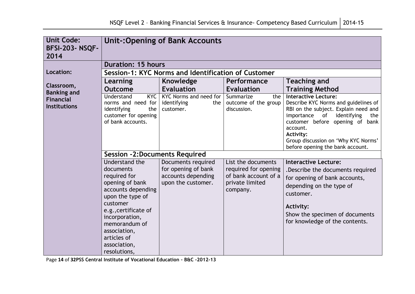| <b>Unit Code:</b><br><b>BFSI-203-NSQF-</b><br>2014 | <b>Unit-: Opening of Bank Accounts</b>                                                                                                                                                                                                         |                                                                                       |                                                                                                   |                                                                                                                                                                                                                                                                                                  |  |  |  |
|----------------------------------------------------|------------------------------------------------------------------------------------------------------------------------------------------------------------------------------------------------------------------------------------------------|---------------------------------------------------------------------------------------|---------------------------------------------------------------------------------------------------|--------------------------------------------------------------------------------------------------------------------------------------------------------------------------------------------------------------------------------------------------------------------------------------------------|--|--|--|
|                                                    | <b>Duration: 15 hours</b>                                                                                                                                                                                                                      |                                                                                       |                                                                                                   |                                                                                                                                                                                                                                                                                                  |  |  |  |
| Location:                                          |                                                                                                                                                                                                                                                | Session-1: KYC Norms and Identification of Customer                                   |                                                                                                   |                                                                                                                                                                                                                                                                                                  |  |  |  |
| Classroom,<br><b>Banking and</b>                   | Learning<br><b>Outcome</b>                                                                                                                                                                                                                     | Knowledge<br><b>Evaluation</b>                                                        | Performance<br><b>Evaluation</b>                                                                  | <b>Teaching and</b><br><b>Training Method</b>                                                                                                                                                                                                                                                    |  |  |  |
| <b>Financial</b><br><b>Institutions</b>            | <b>KYC</b><br>Understand<br>norms and need for<br>identifying<br>the<br>customer for opening<br>of bank accounts.                                                                                                                              | KYC Norms and need for<br>identifying<br>the<br>customer.                             | Summarize<br>the<br>outcome of the group<br>discussion.                                           | <b>Interactive Lecture:</b><br>Describe KYC Norms and guidelines of<br>RBI on the subject. Explain need and<br>identifying<br>importance of<br>the<br>customer before opening of bank<br>account.<br><b>Activity:</b><br>Group discussion on 'Why KYC Norms'<br>before opening the bank account. |  |  |  |
|                                                    |                                                                                                                                                                                                                                                | <b>Session -2:Documents Required</b>                                                  |                                                                                                   |                                                                                                                                                                                                                                                                                                  |  |  |  |
|                                                    | Understand the<br>documents<br>required for<br>opening of bank<br>accounts depending<br>upon the type of<br>customer<br>e.g., certificate of<br>incorporation,<br>memorandum of<br>association,<br>articles of<br>association,<br>resolutions, | Documents required<br>for opening of bank<br>accounts depending<br>upon the customer. | List the documents<br>required for opening<br>of bank account of a<br>private limited<br>company. | <b>Interactive Lecture:</b><br>.Describe the documents required<br>for opening of bank accounts,<br>depending on the type of<br>customer.<br><b>Activity:</b><br>Show the specimen of documents<br>for knowledge of the contents.                                                                |  |  |  |

Page **14** of **32PSS Central Institute of Vocational Education – B&C -2012-13**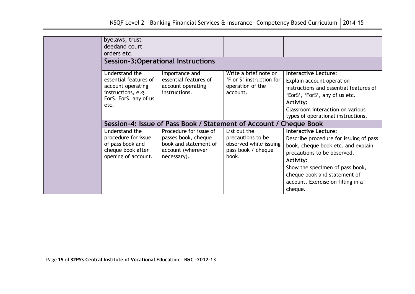| byelaws, trust<br>deedand court<br>orders etc.                                                                      |                                                                                                            |                                                                                            |                                                                                                                                                                                                                                                                                   |
|---------------------------------------------------------------------------------------------------------------------|------------------------------------------------------------------------------------------------------------|--------------------------------------------------------------------------------------------|-----------------------------------------------------------------------------------------------------------------------------------------------------------------------------------------------------------------------------------------------------------------------------------|
|                                                                                                                     | <b>Session-3:Operational Instructions</b>                                                                  |                                                                                            |                                                                                                                                                                                                                                                                                   |
| Understand the<br>essential features of<br>account operating<br>instructions, e.g.<br>EorS, ForS, any of us<br>etc. | Importance and<br>essential features of<br>account operating<br>instructions.                              | Write a brief note on<br>'F or S' instruction for<br>operation of the<br>account.          | <b>Interactive Lecture:</b><br>Explain account operation<br>instructions and essential features of<br>'EorS', 'ForS', any of us etc.<br><b>Activity:</b><br>Classroom interaction on various<br>types of operational instructions.                                                |
|                                                                                                                     | Session-4: Issue of Pass Book / Statement of Account / Cheque Book                                         |                                                                                            |                                                                                                                                                                                                                                                                                   |
| Understand the<br>procedure for issue<br>of pass book and<br>cheque book after<br>opening of account.               | Procedure for issue of<br>passes book, cheque<br>book and statement of<br>account (wherever<br>necessary). | List out the<br>precautions to be<br>observed while issuing<br>pass book / cheque<br>book. | <b>Interactive Lecture:</b><br>Describe procedure for issuing of pass<br>book, cheque book etc. and explain<br>precautions to be observed.<br><b>Activity:</b><br>Show the specimen of pass book,<br>cheque book and statement of<br>account. Exercise on filling in a<br>cheque. |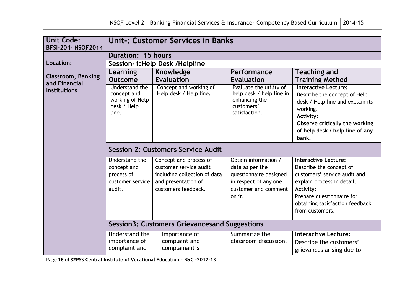| <b>Unit Code:</b><br><b>BFSI-204- NSQF2014</b> | <b>Unit-: Customer Services in Banks</b>                                        |                                                                                                                                |                                                                                                                              |                                                                                                                                                                                                                      |  |  |  |
|------------------------------------------------|---------------------------------------------------------------------------------|--------------------------------------------------------------------------------------------------------------------------------|------------------------------------------------------------------------------------------------------------------------------|----------------------------------------------------------------------------------------------------------------------------------------------------------------------------------------------------------------------|--|--|--|
| <b>Duration: 15 hours</b>                      |                                                                                 |                                                                                                                                |                                                                                                                              |                                                                                                                                                                                                                      |  |  |  |
| Location:                                      |                                                                                 | Session-1: Help Desk / Helpline                                                                                                |                                                                                                                              |                                                                                                                                                                                                                      |  |  |  |
| <b>Classroom, Banking</b><br>and Financial     | Learning<br><b>Outcome</b>                                                      | <b>Knowledge</b><br><b>Evaluation</b>                                                                                          | Performance<br><b>Evaluation</b>                                                                                             | <b>Teaching and</b><br><b>Training Method</b>                                                                                                                                                                        |  |  |  |
| <b>Institutions</b>                            | <b>Understand the</b><br>concept and<br>working of Help<br>desk / Help<br>line. | Concept and working of<br>Help desk / Help line.                                                                               | Evaluate the utility of<br>help desk / help line in<br>enhancing the<br>customers'<br>satisfaction.                          | <b>Interactive Lecture:</b><br>Describe the concept of Help<br>desk / Help line and explain its<br>working.<br><b>Activity:</b><br>Observe critically the working<br>of help desk / help line of any<br>bank.        |  |  |  |
|                                                | <b>Session 2: Customers Service Audit</b>                                       |                                                                                                                                |                                                                                                                              |                                                                                                                                                                                                                      |  |  |  |
|                                                | Understand the<br>concept and<br>process of<br>customer service<br>audit.       | Concept and process of<br>customer service audit<br>including collection of data<br>and presentation of<br>customers feedback. | Obtain information /<br>data as per the<br>questionnaire designed<br>in respect of any one<br>customer and comment<br>on it. | <b>Interactive Lecture:</b><br>Describe the concept of<br>customers' service audit and<br>explain process in detail.<br>Activity:<br>Prepare questionnaire for<br>obtaining satisfaction feedback<br>from customers. |  |  |  |
|                                                | <b>Session3: Customers Grievancesand Suggestions</b>                            |                                                                                                                                |                                                                                                                              |                                                                                                                                                                                                                      |  |  |  |
|                                                | Understand the<br>importance of<br>complaint and                                | Importance of<br>complaint and<br>complainant's                                                                                | Summarize the<br>classroom discussion.                                                                                       | <b>Interactive Lecture:</b><br>Describe the customers'<br>grievances arising due to                                                                                                                                  |  |  |  |

Page **16** of **32PSS Central Institute of Vocational Education – B&C -2012-13**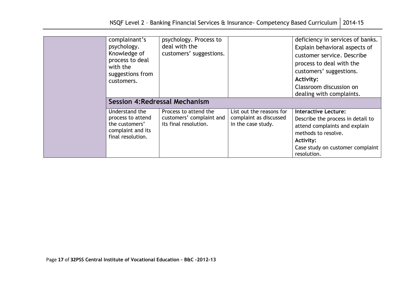| complainant's<br>psychology.<br>Knowledge of<br>process to deal<br>with the<br>suggestions from<br>customers. | psychology. Process to<br>deal with the<br>customers' suggestions.         |                                                                          | deficiency in services of banks.<br>Explain behavioral aspects of<br>customer service. Describe<br>process to deal with the<br>customers' suggestions.<br>Activity:<br>Classroom discussion on<br>dealing with complaints. |
|---------------------------------------------------------------------------------------------------------------|----------------------------------------------------------------------------|--------------------------------------------------------------------------|----------------------------------------------------------------------------------------------------------------------------------------------------------------------------------------------------------------------------|
| <b>Session 4: Redressal Mechanism</b>                                                                         |                                                                            |                                                                          |                                                                                                                                                                                                                            |
| Understand the<br>process to attend<br>the customers'<br>complaint and its<br>final resolution.               | Process to attend the<br>customers' complaint and<br>its final resolution. | List out the reasons for<br>complaint as discussed<br>in the case study. | <b>Interactive Lecture:</b><br>Describe the process in detail to<br>attend complaints and explain<br>methods to resolve.<br>Activity:<br>Case study on customer complaint<br>resolution.                                   |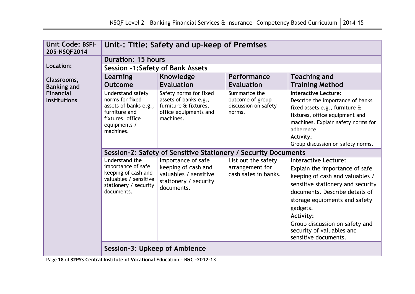| <b>Unit Code: BSFI-</b><br>205-NSQF2014 | Unit-: Title: Safety and up-keep of Premises                                                                                    |                                                                                                                |                                                                     |                                                                                                                                                                                                                                                                                                                                 |  |  |
|-----------------------------------------|---------------------------------------------------------------------------------------------------------------------------------|----------------------------------------------------------------------------------------------------------------|---------------------------------------------------------------------|---------------------------------------------------------------------------------------------------------------------------------------------------------------------------------------------------------------------------------------------------------------------------------------------------------------------------------|--|--|
|                                         | <b>Duration: 15 hours</b>                                                                                                       |                                                                                                                |                                                                     |                                                                                                                                                                                                                                                                                                                                 |  |  |
| Location:                               | <b>Session -1:Safety of Bank Assets</b>                                                                                         |                                                                                                                |                                                                     |                                                                                                                                                                                                                                                                                                                                 |  |  |
| Classrooms,<br><b>Banking and</b>       | Learning<br><b>Outcome</b>                                                                                                      | Knowledge<br><b>Evaluation</b>                                                                                 | Performance<br><b>Evaluation</b>                                    | <b>Teaching and</b><br><b>Training Method</b>                                                                                                                                                                                                                                                                                   |  |  |
| <b>Financial</b><br><b>Institutions</b> | Understand safety<br>norms for fixed<br>assets of banks e.g.,<br>furniture and<br>fixtures, office<br>equipments /<br>machines. | Safety norms for fixed<br>assets of banks e.g.,<br>furniture & fixtures,<br>office equipments and<br>machines. | Summarize the<br>outcome of group<br>discussion on safety<br>norms. | <b>Interactive Lecture:</b><br>Describe the importance of banks<br>fixed assets e.g., furniture &<br>fixtures, office equipment and<br>machines. Explain safety norms for<br>adherence.<br><b>Activity:</b><br>Group discussion on safety norms.                                                                                |  |  |
|                                         | Session-2: Safety of Sensitive Stationery / Security Documents                                                                  |                                                                                                                |                                                                     |                                                                                                                                                                                                                                                                                                                                 |  |  |
|                                         | Understand the<br>importance of safe<br>keeping of cash and<br>valuables / sensitive<br>stationery / security<br>documents.     | Importance of safe<br>keeping of cash and<br>valuables / sensitive<br>stationery / security<br>documents.      | List out the safety<br>arrangement for<br>cash safes in banks.      | <b>Interactive Lecture:</b><br>Explain the importance of safe<br>keeping of cash and valuables /<br>sensitive stationery and security<br>documents. Describe details of<br>storage equipments and safety<br>gadgets.<br><b>Activity:</b><br>Group discussion on safety and<br>security of valuables and<br>sensitive documents. |  |  |
|                                         | Session-3: Upkeep of Ambience                                                                                                   |                                                                                                                |                                                                     |                                                                                                                                                                                                                                                                                                                                 |  |  |

Page **18** of **32PSS Central Institute of Vocational Education – B&C -2012-13**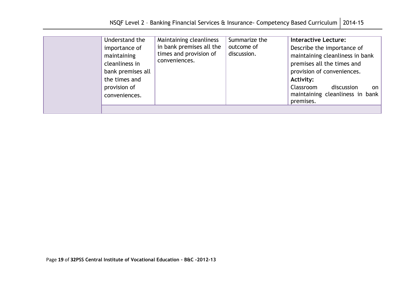| provision of<br>conveniences.<br>premises. | importance of<br>maintaining<br>cleanliness in<br>the times and | in bank premises all the<br>times and provision of<br>conveniences.<br>bank premises all | outcome of<br>discussion. | Describe the importance of<br>maintaining cleanliness in bank<br>premises all the times and<br>provision of conveniences.<br>Activity:<br>Classroom<br>discussion<br>on<br>maintaining cleanliness in bank |
|--------------------------------------------|-----------------------------------------------------------------|------------------------------------------------------------------------------------------|---------------------------|------------------------------------------------------------------------------------------------------------------------------------------------------------------------------------------------------------|
|--------------------------------------------|-----------------------------------------------------------------|------------------------------------------------------------------------------------------|---------------------------|------------------------------------------------------------------------------------------------------------------------------------------------------------------------------------------------------------|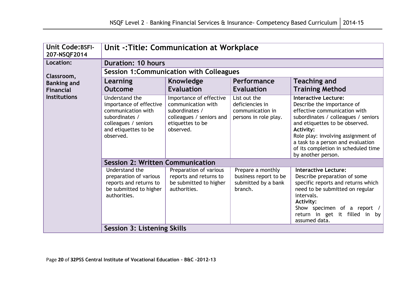| Unit Code: BSFI-<br>207-NSQF2014 | Unit -: Title: Communication at Workplace                                                                                                      |                                                                                                                              |                                                                              |                                                                                                                                                                                                                                                                                                                                |  |  |  |
|----------------------------------|------------------------------------------------------------------------------------------------------------------------------------------------|------------------------------------------------------------------------------------------------------------------------------|------------------------------------------------------------------------------|--------------------------------------------------------------------------------------------------------------------------------------------------------------------------------------------------------------------------------------------------------------------------------------------------------------------------------|--|--|--|
| Location:                        | <b>Duration: 10 hours</b>                                                                                                                      |                                                                                                                              |                                                                              |                                                                                                                                                                                                                                                                                                                                |  |  |  |
| Classroom,                       | <b>Session 1: Communication with Colleagues</b>                                                                                                |                                                                                                                              |                                                                              |                                                                                                                                                                                                                                                                                                                                |  |  |  |
| <b>Banking and</b>               | Learning                                                                                                                                       | Knowledge                                                                                                                    | Performance                                                                  | <b>Teaching and</b>                                                                                                                                                                                                                                                                                                            |  |  |  |
| <b>Financial</b>                 | <b>Outcome</b>                                                                                                                                 | <b>Evaluation</b>                                                                                                            | <b>Evaluation</b>                                                            | <b>Training Method</b>                                                                                                                                                                                                                                                                                                         |  |  |  |
| <b>Institutions</b>              | Understand the<br>importance of effective<br>communication with<br>subordinates /<br>colleagues / seniors<br>and etiquettes to be<br>observed. | Importance of effective<br>communication with<br>subordinates /<br>colleagues / seniors and<br>etiquettes to be<br>observed. | List out the<br>deficiencies in<br>communication in<br>persons in role play. | <b>Interactive Lecture:</b><br>Describe the importance of<br>effective communication with<br>subordinates / colleagues / seniors<br>and etiquettes to be observed.<br><b>Activity:</b><br>Role play: involving assignment of<br>a task to a person and evaluation<br>of its completion in scheduled time<br>by another person. |  |  |  |
|                                  | <b>Session 2: Written Communication</b>                                                                                                        |                                                                                                                              |                                                                              |                                                                                                                                                                                                                                                                                                                                |  |  |  |
|                                  | Understand the<br>preparation of various<br>reports and returns to<br>be submitted to higher<br>authorities.                                   | Preparation of various<br>reports and returns to<br>be submitted to higher<br>authorities.                                   | Prepare a monthly<br>business report to be<br>submitted by a bank<br>branch. | <b>Interactive Lecture:</b><br>Describe preparation of some<br>specific reports and returns which<br>need to be submitted on regular<br>intervals.<br><b>Activity:</b><br>Show specimen of a report /<br>return in get it filled in by<br>assumed data.                                                                        |  |  |  |
|                                  | Session 3: Listening Skills                                                                                                                    |                                                                                                                              |                                                                              |                                                                                                                                                                                                                                                                                                                                |  |  |  |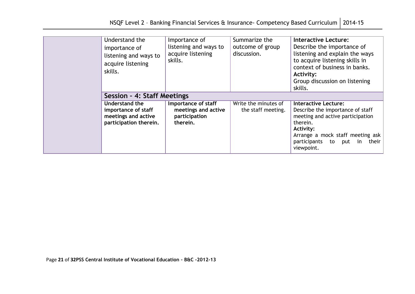| Understand the<br>importance of<br>listening and ways to<br>acquire listening<br>skills. | Importance of<br>listening and ways to<br>acquire listening<br>skills.  | Summarize the<br>outcome of group<br>discussion. | <b>Interactive Lecture:</b><br>Describe the importance of<br>listening and explain the ways<br>to acquire listening skills in<br>context of business in banks.<br>Activity:<br>Group discussion on listening<br>skills. |
|------------------------------------------------------------------------------------------|-------------------------------------------------------------------------|--------------------------------------------------|-------------------------------------------------------------------------------------------------------------------------------------------------------------------------------------------------------------------------|
| Session - 4: Staff Meetings                                                              |                                                                         |                                                  |                                                                                                                                                                                                                         |
| Understand the<br>importance of staff<br>meetings and active<br>participation therein.   | Importance of staff<br>meetings and active<br>participation<br>therein. | Write the minutes of<br>the staff meeting.       | <b>Interactive Lecture:</b><br>Describe the importance of staff<br>meeting and active participation<br>therein.<br><b>Activity:</b><br>Arrange a mock staff meeting ask<br>participants to put in their<br>viewpoint.   |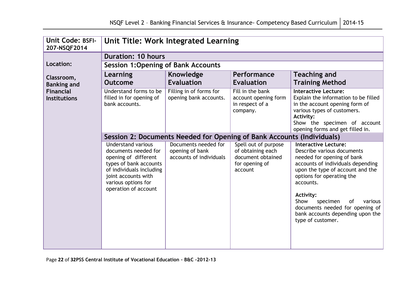| Unit Code: BSFI-<br>207-NSQF2014        | Unit Title: Work Integrated Learning                                                                                                                                                                  |                                                                    |                                                                                             |                                                                                                                                                                                                                                                                     |  |  |
|-----------------------------------------|-------------------------------------------------------------------------------------------------------------------------------------------------------------------------------------------------------|--------------------------------------------------------------------|---------------------------------------------------------------------------------------------|---------------------------------------------------------------------------------------------------------------------------------------------------------------------------------------------------------------------------------------------------------------------|--|--|
|                                         | <b>Duration: 10 hours</b><br><b>Session 1: Opening of Bank Accounts</b>                                                                                                                               |                                                                    |                                                                                             |                                                                                                                                                                                                                                                                     |  |  |
| Location:                               |                                                                                                                                                                                                       |                                                                    |                                                                                             |                                                                                                                                                                                                                                                                     |  |  |
| Classroom,<br><b>Banking and</b>        | Learning<br><b>Outcome</b>                                                                                                                                                                            | <b>Knowledge</b><br><b>Evaluation</b>                              | Performance<br><b>Evaluation</b>                                                            | <b>Teaching and</b><br><b>Training Method</b>                                                                                                                                                                                                                       |  |  |
| <b>Financial</b><br><b>Institutions</b> | Understand forms to be<br>filled in for opening of<br>bank accounts.                                                                                                                                  | Filling in of forms for<br>opening bank accounts.                  | Fill in the bank<br>account opening form<br>in respect of a<br>company.                     | <b>Interactive Lecture:</b><br>Explain the information to be filled<br>in the account opening form of<br>various types of customers.<br><b>Activity:</b><br>Show the specimen of account<br>opening forms and get filled in.                                        |  |  |
|                                         |                                                                                                                                                                                                       |                                                                    | Session 2: Documents Needed for Opening of Bank Accounts (Individuals)                      |                                                                                                                                                                                                                                                                     |  |  |
|                                         | <b>Understand various</b><br>documents needed for<br>opening of different<br>types of bank accounts<br>of individuals including<br>joint accounts with<br>various options for<br>operation of account | Documents needed for<br>opening of bank<br>accounts of individuals | Spell out of purpose<br>of obtaining each<br>document obtained<br>for opening of<br>account | <b>Interactive Lecture:</b><br>Describe various documents<br>needed for opening of bank<br>accounts of individuals depending<br>upon the type of account and the<br>options for operating the<br>accounts.<br><b>Activity:</b><br>Show<br>specimen<br>οf<br>various |  |  |
|                                         |                                                                                                                                                                                                       |                                                                    |                                                                                             | documents needed for opening of<br>bank accounts depending upon the<br>type of customer.                                                                                                                                                                            |  |  |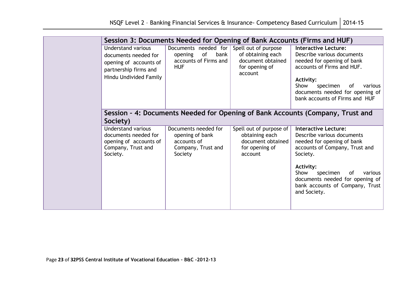| Session 3: Documents Needed for Opening of Bank Accounts (Firms and HUF)                                                       |                                                                                         |                                                                                             |                                                                                                                                                                                                                                                                               |  |  |
|--------------------------------------------------------------------------------------------------------------------------------|-----------------------------------------------------------------------------------------|---------------------------------------------------------------------------------------------|-------------------------------------------------------------------------------------------------------------------------------------------------------------------------------------------------------------------------------------------------------------------------------|--|--|
| <b>Understand various</b><br>documents needed for<br>opening of accounts of<br>partnership firms and<br>Hindu Undivided Family | Documents needed for<br>of<br>bank<br>opening<br>accounts of Firms and<br><b>HUF</b>    | Spell out of purpose<br>of obtaining each<br>document obtained<br>for opening of<br>account | <b>Interactive Lecture:</b><br>Describe various documents<br>needed for opening of bank<br>accounts of Firms and HUF.<br>Activity:<br>Show<br>specimen<br>0f<br>various<br>documents needed for opening of<br>bank accounts of Firms and HUF                                  |  |  |
| Society)                                                                                                                       |                                                                                         |                                                                                             | Session - 4: Documents Needed for Opening of Bank Accounts (Company, Trust and                                                                                                                                                                                                |  |  |
| Understand various<br>documents needed for<br>opening of accounts of<br>Company, Trust and<br>Society.                         | Documents needed for<br>opening of bank<br>accounts of<br>Company, Trust and<br>Society | Spell out of purpose of<br>obtaining each<br>document obtained<br>for opening of<br>account | <b>Interactive Lecture:</b><br>Describe various documents<br>needed for opening of bank<br>accounts of Company, Trust and<br>Society.<br>Activity:<br>Show<br>specimen<br>0f<br>various<br>documents needed for opening of<br>bank accounts of Company, Trust<br>and Society. |  |  |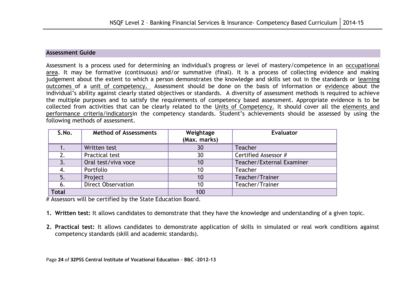#### **Assessment Guide**

Assessment is a process used for determining an individual's progress or level of mastery/competence in an occupational area. It may be formative (continuous) and/or summative (final). It is a process of collecting evidence and making judgement about the extent to which a person demonstrates the knowledge and skills set out in the standards or learning outcomes of a unit of competency. Assessment should be done on the basis of information or evidence about the individual"s ability against clearly stated objectives or standards. A diversity of assessment methods is required to achieve the multiple purposes and to satisfy the requirements of competency based assessment. Appropriate evidence is to be collected from activities that can be clearly related to the Units of Competency. It should cover all the elements and performance criteria/indicatorsin the competency standards. Student"s achievements should be assessed by using the following methods of assessment.

| S.No.        | <b>Method of Assessments</b> | Weightage<br>(Max. marks) | <b>Evaluator</b>          |
|--------------|------------------------------|---------------------------|---------------------------|
|              | Written test                 | 30                        | <b>Teacher</b>            |
| 2.           | Practical test               | 30                        | Certified Assessor #      |
|              | Oral test/viva voce          | 10                        | Teacher/External Examiner |
|              | Portfolio                    | 10                        | <b>Teacher</b>            |
| 5.           | Project                      | 10                        | Teacher/Trainer           |
| 6.           | <b>Direct Observation</b>    | 10                        | Teacher/Trainer           |
| <b>Total</b> |                              | 100                       |                           |

# Assessors will be certified by the State Education Board.

- **1. Written test:** It allows candidates to demonstrate that they have the knowledge and understanding of a given topic.
- **2. Practical test:** It allows candidates to demonstrate application of skills in simulated or real work conditions against competency standards (skill and academic standards).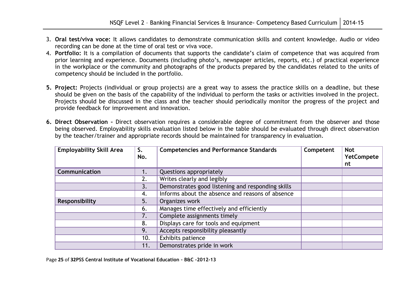- 3. **Oral test/viva voce:** It allows candidates to demonstrate communication skills and content knowledge. Audio or video recording can be done at the time of oral test or viva voce.
- 4. **Portfolio:** It is a compilation of documents that supports the candidate"s claim of competence that was acquired from prior learning and experience. Documents (including photo"s, newspaper articles, reports, etc.) of practical experience in the workplace or the community and photographs of the products prepared by the candidates related to the units of competency should be included in the portfolio.
- **5. Project:** Projects (individual or group projects) are a great way to assess the practice skills on a deadline, but these should be given on the basis of the capability of the individual to perform the tasks or activities involved in the project. Projects should be discussed in the class and the teacher should periodically monitor the progress of the project and provide feedback for improvement and innovation.
- **6. Direct Observation –** Direct observation requires a considerable degree of commitment from the observer and those being observed. Employability skills evaluation listed below in the table should be evaluated through direct observation by the teacher/trainer and appropriate records should be maintained for transparency in evaluation.

| <b>Employability Skill Area</b> | S.<br>No. | <b>Competencies and Performance Standards</b>     | Competent | <b>Not</b><br><b>YetCompete</b><br>nt |
|---------------------------------|-----------|---------------------------------------------------|-----------|---------------------------------------|
| Communication                   | 1.        | Questions appropriately                           |           |                                       |
|                                 | 2.        | Writes clearly and legibly                        |           |                                       |
|                                 | 3.        | Demonstrates good listening and responding skills |           |                                       |
|                                 | 4.        | Informs about the absence and reasons of absence  |           |                                       |
| Responsibility                  | 5.        | Organizes work                                    |           |                                       |
|                                 | 6.        | Manages time effectively and efficiently          |           |                                       |
|                                 | 7.        | Complete assignments timely                       |           |                                       |
|                                 | 8.        | Displays care for tools and equipment             |           |                                       |
|                                 | 9.        | Accepts responsibility pleasantly                 |           |                                       |
|                                 | 10.       | Exhibits patience                                 |           |                                       |
|                                 | 11.       | Demonstrates pride in work                        |           |                                       |

Page **25** of **32PSS Central Institute of Vocational Education – B&C -2012-13**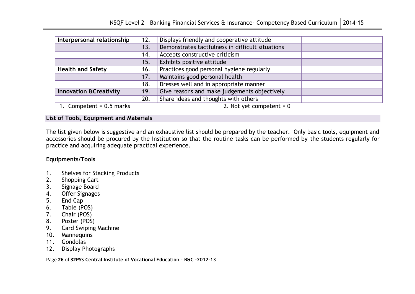| Interpersonal relationship                                                               | 12. | Displays friendly and cooperative attitude       |  |
|------------------------------------------------------------------------------------------|-----|--------------------------------------------------|--|
|                                                                                          | 13. | Demonstrates tactfulness in difficult situations |  |
|                                                                                          | 14. | Accepts constructive criticism                   |  |
|                                                                                          | 15. | Exhibits positive attitude                       |  |
| <b>Health and Safety</b>                                                                 | 16. | Practices good personal hygiene regularly        |  |
|                                                                                          | 17. | Maintains good personal health                   |  |
|                                                                                          | 18. | Dresses well and in appropriate manner           |  |
| <b>Innovation &amp; Creativity</b>                                                       | 19. | Give reasons and make judgements objectively     |  |
|                                                                                          | 20. | Share ideas and thoughts with others             |  |
| $\overline{a}$ and $\overline{a}$ and $\overline{a}$ and $\overline{a}$<br>$\sim$ $\sim$ |     | $\sim$ $\sim$ $\sim$ $\sim$ $\sim$ $\sim$        |  |

1. Competent = 0.5 marks 2. Not yet competent = 0

#### **List of Tools, Equipment and Materials**

The list given below is suggestive and an exhaustive list should be prepared by the teacher. Only basic tools, equipment and accessories should be procured by the Institution so that the routine tasks can be performed by the students regularly for practice and acquiring adequate practical experience.

### **Equipments/Tools**

- 1. Shelves for Stacking Products
- 2. Shopping Cart
- 3. Signage Board
- 4. Offer Signages
- 5. End Cap
- 6. Table (POS)
- 7. Chair (POS)
- 8. Poster (POS)
- 9. Card Swiping Machine
- 10. Mannequins
- 11. Gondolas
- 12. Display Photographs

Page **26** of **32PSS Central Institute of Vocational Education – B&C -2012-13**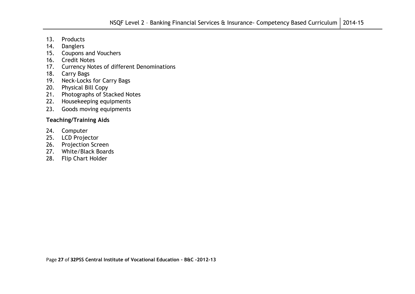- 13. Products
- 14. Danglers
- 15. Coupons and Vouchers
- 16. Credit Notes
- 17. Currency Notes of different Denominations
- 18. Carry Bags
- 19. Neck-Locks for Carry Bags
- 20. Physical Bill Copy
- 21. Photographs of Stacked Notes
- 22. Housekeeping equipments
- 23. Goods moving equipments

### **Teaching/Training Aids**

- 24. Computer
- 25. LCD Projector
- 26. Projection Screen
- 27. White/Black Boards
- 28. Flip Chart Holder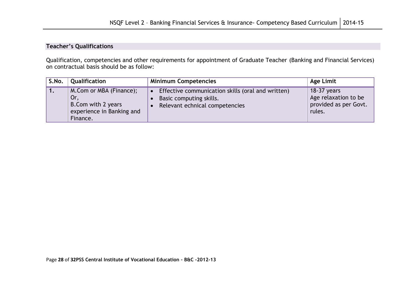### **Teacher's Qualifications**

Qualification, competencies and other requirements for appointment of Graduate Teacher (Banking and Financial Services) on contractual basis should be as follow:

| S.No. | Qualification                                                                                  | <b>Minimum Competencies</b>                                                                                      | Age Limit                                                                |
|-------|------------------------------------------------------------------------------------------------|------------------------------------------------------------------------------------------------------------------|--------------------------------------------------------------------------|
|       | M.Com or MBA (Finance);<br>Or,<br>B. Com with 2 years<br>experience in Banking and<br>Finance. | • Effective communication skills (oral and written)<br>Basic computing skills.<br>Relevant echnical competencies | $18-37$ years<br>Age relaxation to be<br>provided as per Govt.<br>rules. |